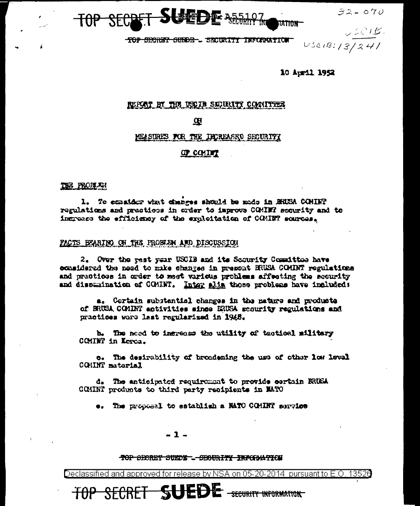



TOP SECRET SURDE-. SECURITY INFORMATION

 $U$  $\subset$  $C$   $B$ .  $USCIB:13/241$ 

10 April 1952

#### REPORT BY THE USE IS SECURITY CONNITION

#### $\mathbf{G}$

MEASURES FOR THE INCREASED SECURITY

#### OP COMINT

#### THE PRODUCT

1. To consider what changes should be mode in BRUSA COMINT regulations and practices in order to improve COMINT security and to ingrees the efficiency of the exploitation of COMINT sources.

#### FACTS EFARING ON THE FROBLEM AND DISCUSSION

2. Over the rest year USCIB and its Scourity Committee have considered the need to make changes in present BRUSA COMINT regulations and practices in order to meet various problems affecting the security and dissumination of CGMINT. Inter alia those problems have included:

a. Cortain substantial changes in the nature and products of BRUSA COMINT activities since ERUSA scourity regulations and practices wore last regularized in 1945.

b. The need to increase the utility of tactical military CCMINT in Kerea.

o. The desirability of broadening the use of other low level COMINT matarial

d. The anticipated requirement to provide cortain BRUSA COMINT products to third party recipients in MATO

e. The proposal to establish a MATO COMINT service

#### $-1-$

#### TOP SECRET SUEDE \_- SECURITY INFORMATION

TOP SECRET SUEDE SECURITY INFORMATION

Declassified and approved for release by NSA on 05-20-2014 pursuant to E.O. 13526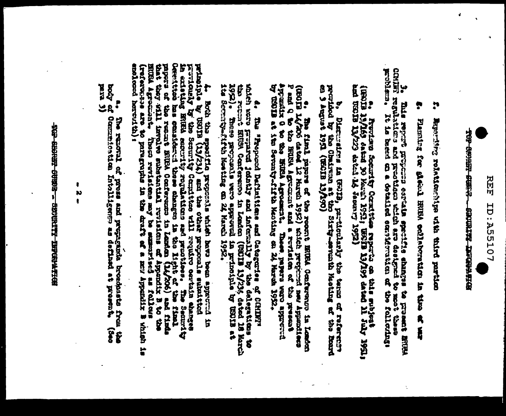

The create purel **ROTH WEBSTERN PARTICULAR** 

 $\ddot{ }$ 

ă Experience role-formation with the particular

ŗ Fluither of department of the property of the strength of the strength of the strength of the strength of the strength of the strength of the strength of the strength of the strength of the strength of the strength of the

3. This reproperties at the cordinal specifical or register of the state of the state of the state of the state of the cordinal control of the cordinal control of the cordinal control of the cordinal control of the cordina

es freedom terms of the control of the state and the state of the state of the state of the state of the state of the state of the state of the state of the state of the state of the state of the state of the state of the

b, Distributed an William Controller and the terms of the correction of the correction of the correction of the correction of the correction of the correction of the correction of the correction of the correction of the co

P and Q to the BRUSA Agreement and a revision of the present properties of the present approximate in the second approximate in the second of the Serman Marching on 24 March 1952. contracted that have defined a child contracted in Leakand and have a location of the contraction of the contraction of the contraction of the contraction of the contraction of the contraction of the contraction of the con

which wave greater that the and inferently by the delegations to the second resource of the second resource of the second resource of the second resource of the second resource of the second resource of the second resource 1952). These preparals were approved in present the present of the Second<br>1te Secondy-fifth Meating on 24 March 1952. ÷ The "Proposal Definitions and Cotogories of CRIFF" (09013 13/234 dated 18 March<br>12 prinoiphe by US013 at<br>1962.

providently by the Scoutity Compittee will contain occtain easiest<br>in existing BNRs security regulations and prosthese, The Security<br>Occultion has considered these changes in the 11ght of the final<br>papers of the remate BNR A both the action of the control of the control and the control in the transported in the control of the control of the control of the control of the control of the control of the control of the control of the control of t andlomed herent the i HUGA Agreemiathe These revisions may be summarized as follows. **Change our** 

a, The renoval of prose and properties brockesste from the the the committed of Committed intelligence of the conduction of the committed intelligence of the conduction of the conduction of the conduction of the conduction

BOST ERRICHT TERRICHT ERRICHTEN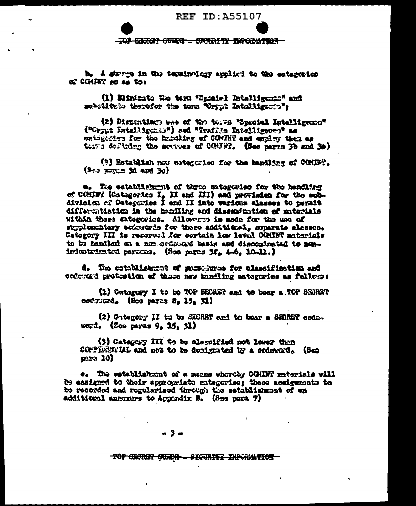**REF ID: A55107** 

TOP CORNER SVERS - SWARETY DIFORMATION

b. A since in the teminology applied to the extegrates of COMERT no as to:

(1) Elinicate the term "Spealed Intelligense" and mbotitulo therefor the torn "Crypt Intolligence":

(2) Distrusions was of the tours "Special Intelligence" ("Crypt Intellights") and "Ivafits Intelligence" as ontigentes for the hundling of CONTNT and employ them as terrs defining the scurves of COUNT. (See parts 3b and 3e)

(?) Establish now categories for the handling of COMING.  $(3 \leftrightarrow 32$  and 3d and 3o)

a. The establishment of three enterprise for the handling of COMRT (Categorics I, II and III) and prevision for the sub-<br>division of Categories I and II into various alasses to perait differentiation in the healing and dissemination of materials within these sategories. Allowares is mede for the use of suplemntary entracts for these additional, soparate element. Category III is received for certain low level COMINT materials -spe of handled on a new horse for more on a failed of of inieptrimici persons. (See pers 3f, 4.6, 10.11.)

d. The sciellightent of preschwes for eleccification and coloured protection of these new handling categories as follows:

(1) Oategory I to be TOP SECRET and to bear a TOP SECRET codruced. (See pares 8, 15, 31)

(2) Untegery II to be SECRET and to bear a SECRET code.  $word.$  (Soo paras  $9.15.31$ )

(3) Category III to be electified not leave than CONFIDENTIAL and not to be designated by a codeword. (See  $max 10$ 

e. The establishment of a meens whereby COHINT materials will be charging caedy included chairman charging the best headings of be resorded and regularised through the establishment of an additional aproxime to Appendix B. (See para 7)

#### $-3-$

TOP SECRET SURPLE SECTRITE INFORMATION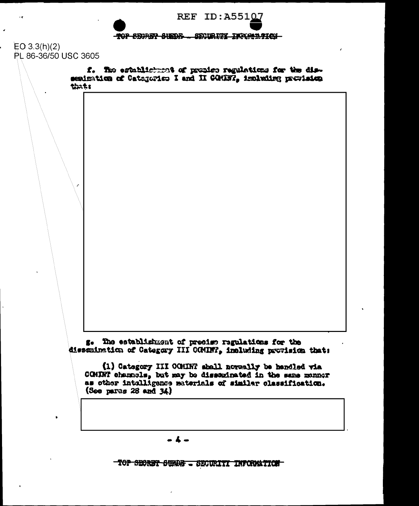

 $EO 3.3(h)(2)$ PL 86-36/50 USC 3605

> f. The establishment of propier regulations for the dissesimation of Categories I and II COMET, implating provision tints

g. The establishment of presign regulations for the dissemination of Category III COMINT, including provision that:

(1) Category III COMINT shall noveally be handled via COMINT channels, but may be dissominated in the seme monner as other intelligence meterials of similar classification.  $(Soo<sub>para</sub> 28 and 34)$ 

TOP SECRET SUMME - SECURITI INFORMATION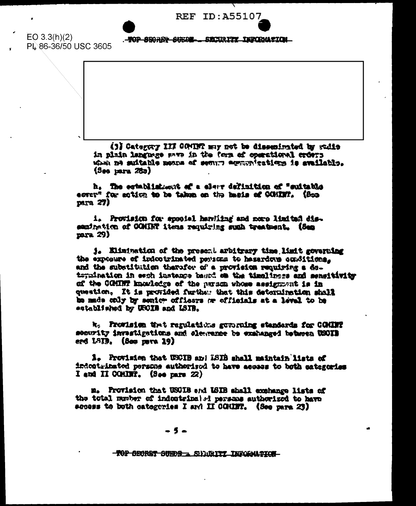**REF ID: A55107** 

 $EO 3.3(h)(2)$ PL 86-36/50 USC 3605

. TOP SECRET SUEDE ... SECORITY TEPORANTON

(3) Category III COMINT may not be dissenimated by sudie in plain language aven in the form of operational erform when ne saitable means of semire equipplextions is svailable.  $(3<sub>00</sub> )<sub>max</sub> (75<sub>0</sub>)$ 

h. The establishment of a elerr definition of "suitable ecrep" for soldon to be taken on the hasis of COMIN'. (See  $px_1 27$ 

i. Provision for special harvitag and nore limited dissamination of COMINT items requiring such treatment. (Ses  $max29$ 

1. Elimination of the present arbitrary time limit governing the exposure of indootrinated persons to hesardows conditions. and the substitution therefor of a provision requiring a deternination in each instance baund on the timeliness and sensitivity of the COMINT knowledge of the parson whose assignment is in question. It is provided furths: that this determination shall be made only by senior officers or officials at a level to be established by USCIB and LSIB.

k: Frowleion that regulations guverning standards for COMINT sesurity invastigations and electence be examinged between USOIB erd LSID, (See mere 19)

1. Provision that USCIB and ISIB shall maintain lists of indestribated persons authorized to have access to both categories I and II COMINT.  $(3<sub>0</sub>6<sub>0</sub>)<sub>0</sub>$  parts  $(22)$ 

m. Provision that USCIB and ISIB shall exchange lists of the total member of indestrinal el persons authorized to have access to both categories I am' II COMINT. (See para 23)

#### - 5 -

**-TOP SECRET SUEDS \_ SUGGETTY INFORMATION**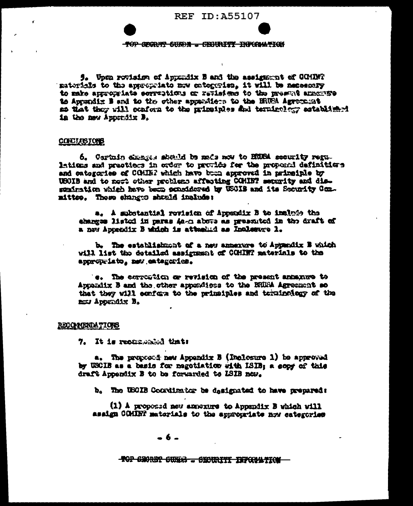

5. Upon rovision of Appendix B and the assistence of COMINT materials to the appropriate mov entercrise, it will be necessary cameras spresses of the hosteptions or revised to the presence of the of to Augustix B and to the other apparaters to the BRUSA Agreement as that they will cenform to the mineiples and terminolegy astablished in the maw Apporting B.

#### **COECIASIONS**

6. Cartain example should be made now to HUSA security regulations and practices in order to provide for the proposal definitions and eatogeries of CCHINP which have bum approved in primeiple by USOIB and to nost other problems affecting COMINT security and dissenimation which have been considered by USOIB and its Security Conmittee. These changes shauld include:

a. A substantial revision of Appendix B to inalate the changes listed in paras As-a above as presented in the draft of a new Appendix B which is attented as Incleaves 1.

b. The establishment of a new annexure to Appendix B which will list the detailed assignment of COMINT materials to the appropriato, new entegaries.

's. The correstion or revision of the present annamore to Appendix B and the other appendices to the BRUSA Agreement so that they will senform to the primatples and texninology of the now Appendix B.

#### RECOMBRIDATIONS

7. It is recommended that:

a. The proposed new Appendix B (Inclosure 1) be approved by USCIB as a basis for megotiation with ISIB: a copy of this draft Appendix B to be forwarded to LSIB new.

b. The USOIB Coordinator be dasignated to have prepared:

(1) A proposed new amorgine to Appendix B which will asaign COMINT materials to the appropriate now eategories

-6-

TOP SHOREY SUMMS - SHOURITI INFORMATION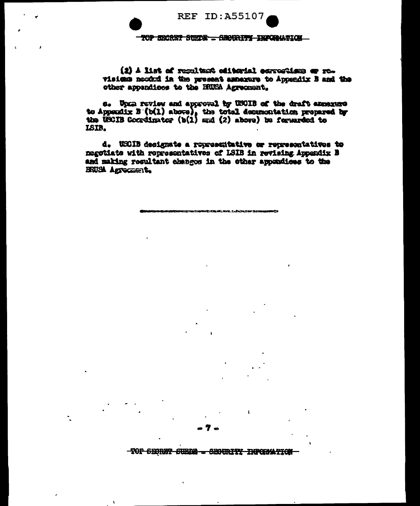**REF ID: A55107** 

TOP SECRET SUEDE - SECRETTY INFORMATION

(2) A list of regulated oditorial correstions or revisions nected in the present asperture to Appendix B and the other appendices to the HUSA Agreement.

s. Upma review and approval by USCIB of the draft amenums to Appendix B (b(1) above), the total decumentation prepared by the USCIB Cocadinator (b(1) and (2) above) be forwarded to ISIR.

d. USCIB designate a roprescritative or representatives to negotiate with representatives of ISIB in revising Appendix B and making resultant changes in the other appendices to the BRUSA Agrecate to

TOP SECRET SUEDS - SECURITY INFORMATION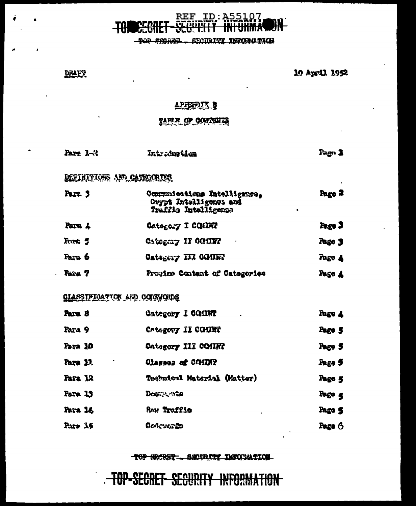# REF ID: A55107

TOP SEORER - SECURITY INFORMATION

DRAFT.

10 April 1952

#### APENDUX B

 $\ddot{\phantom{a}}$ 

## TARIF OF OCUTORIA

| <b>Fare 1-3</b> | Introduction | Page 1 |
|-----------------|--------------|--------|
|-----------------|--------------|--------|

## DEFINITIONS AND CATEGORIES

| Para 3  | Communications Intelligences<br>Crypt Intelligence and<br>Traffic Intelligence | Pago 2<br>٠ |
|---------|--------------------------------------------------------------------------------|-------------|
| Para 4  | Ostogory I COMINI                                                              | Page 3      |
| Fort. 5 | Category II CONINY                                                             | Page 3      |
| Para 6  | Category III COMET                                                             | Pago 4      |
| Para 7  | Presine Content of Categories                                                  | Pago 4      |

## CLASSIFICATION AND COUNCIUS

| Para 8       | Category I COMINT<br>٠      | Page 4 |
|--------------|-----------------------------|--------|
| Para 9       | Crisgory II COMINT          | Pago 5 |
| Para 10      | Category III COMINT         | Page 5 |
| Para 11<br>۰ | Olasses of COMINY           | Fage 5 |
| Para 12      | Teghnical Material (Matter) | Page 5 |
| Para 19      | Dogayanta                   | Page 4 |
| Para 14      | Ren Traffig<br>٠            | Page 5 |
| Paro 15      | <b>Qoleyce 20</b>           | Page 6 |

#### TOP SECRET \_\_ SECURITY DINICIATION

## TOP-SECRET SECURITY INFORMATION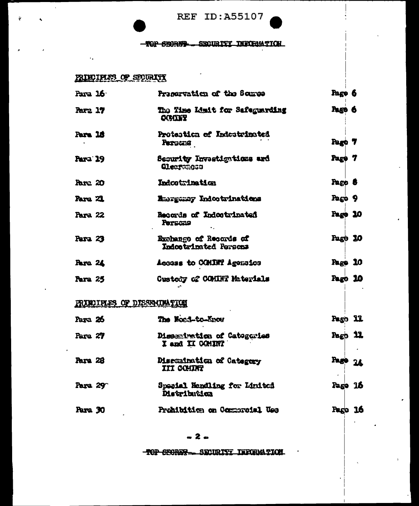**REF ID:A55107** 

#### TOP SHORES - SHOURIFY INFORMATION

## PRINCIPLES OF SEQURITY

 $\mathbf{r}$ 

| Para 16.       |                             | Preservation of the Source                       | Pago 6      |  |
|----------------|-----------------------------|--------------------------------------------------|-------------|--|
| Para 17        |                             | The Time Limit for Safeguarding<br><b>CONTRY</b> | Page 6      |  |
| Para 16        |                             | Protestica of Indestrinated<br>Persons           | Pago 7      |  |
| Para 19        |                             | Security Investigations ard<br>Clearangs         | Page 7      |  |
| Pare 20        |                             | Indoctrination                                   | Pago 8      |  |
| <b>Para 21</b> |                             | <b>R</b> margemey Indoctrinations                | Page 9      |  |
| <b>Para 22</b> |                             | Records of Indoctrinated<br>Persons              | Page 10     |  |
| Para 23        |                             | Exchange of Records of<br>Indoctrinated Persons  | Page 10     |  |
| <b>Para 24</b> |                             | Access to COMINT Agencies                        | Page 10     |  |
| Para 25        |                             | Custody of COMINT Materials                      | Pago 10     |  |
|                | PRINCIPLES OF DISSECURATION |                                                  |             |  |
| Para 26        |                             | The Nond-to-Know                                 | Pago 11     |  |
| Para 27        |                             | Disserivation of Catogories<br>I and II COMINT   | $P_2$ $P_3$ |  |
| Para 28        |                             | Discusination of Category<br>III COHINT          | Page 24     |  |
| Para 29        |                             | Special Hondling for Linited<br>Distribution     | Page 16     |  |
| Para 30        |                             | Prohibition on Commonstal Use                    | Pago 16     |  |
|                |                             |                                                  |             |  |

TOP CRORES - SECURITY INFORMATION.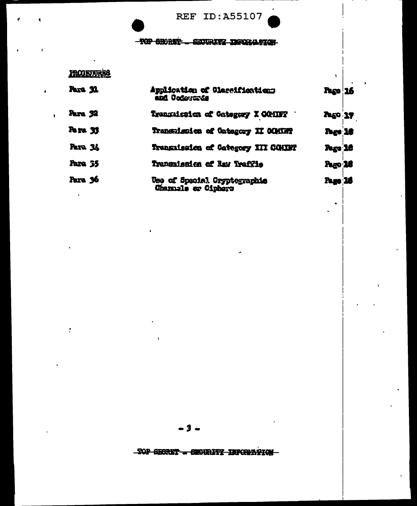REF ID:A55107

#### -TOP SECRET- SECURITY DEVELOPING

## **PRODIEURES**

÷

| Para 31        | Application of Classifications<br>and Codesservia   | Page 16        |  |
|----------------|-----------------------------------------------------|----------------|--|
| <b>Para 32</b> | Transaicsion of Category I COMIFF                   | <b>Pago 17</b> |  |
| Page 33        | Transmission of Category II COMING                  | <b>Page 18</b> |  |
| <b>Para 34</b> | Transmission of Category III CONIET                 | Page 16        |  |
| Para 35        | Transmission of Ray Traffis                         | Pago 26        |  |
| Para 36        | Use of Special Cryptographic<br>Channels or Ciphers | Page 16        |  |

-2

-TOP SECRET - CECURITY INFORMATION-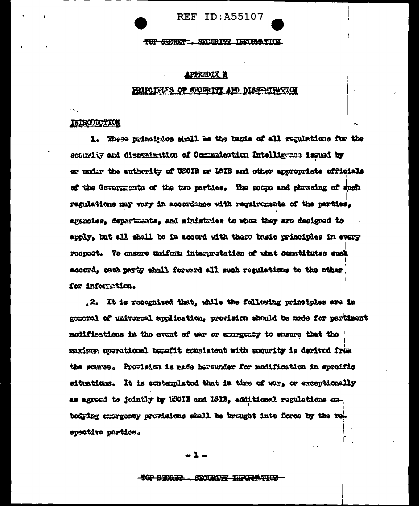**REF ID: A55107** 

TOP SUDRET \_\_ SECURITY TERMINATION

#### APPREDIX R

#### RIFLINES OF SHIRTIT AND DISSENTENTION

#### **INTRODUCTION**

1. These pripoirles shall be the basis of all regulations for the scourity and dissentantion of Commutation Intelligence issued by or unier the authority of USCIB or ISIB and other appropriate officials of the Governments of the two parties. The soope and phrasing of such regulations may vary in accordance with requirements of the parties, aggroies, departments, and ministries to whan they are designed to apply, but all shall be in accord with these basic principles in every respect. To cnsure uniform interpretation of what constitutes such accord, cash party shall forward all such regulations to the other for information.

.2. It is recognized that, while the following principles are in general of universal application, provision should be made for pertinent modifications in the event of war or exergency to ensure that the maximum operational benefit consistent with socurity is derived from the source. Provision is made herounder for modification in specific situations. It is contemplated that in time of war, or exceptionally as agreed to jointly by USOIB and LSIB, additional regulations exbodying exergency provisions shall be brought into force by the respective parties.

. 1.

#### **- TOP SHORES** SECURITY INFORMATION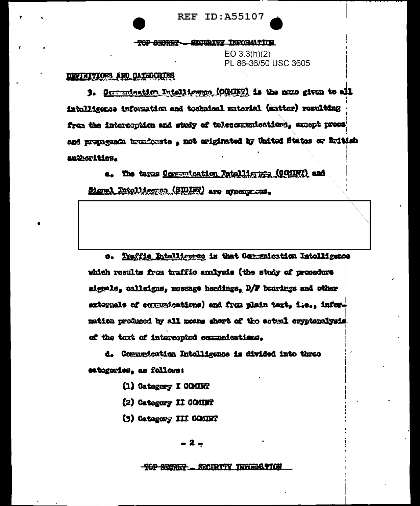**REF ID: A55107** 

TOP SHORET - SECURITY INFORMATION

EO 3.3(h)(2) PL 86-36/50 USC 3605

## DEVINITIONS AND OATHERING

3. Oggennination Intelligence, (OGNIET) is the nome given to all intolligence information and tochnical material (matter) resulting from the intercoption and study of telesomunications, except press and propaganta broadcosts , not criginated by United States or Eritish authorities.

a. The terms Communication Intelligence (COMMI) and Signal Intelligence (SIDINT) are graciation.

Traffic Intelligence is that Communication Intelligence a. which results from traffic analysis (the study of procedure signals, callsigns, message headings, D/F bearings and other externals of communications) and from plain text, i.e., informatica produced by all means short of the actual crypteralysis. of the text of intercepted communications.

d. Communication Intelligence is divided into three estogories, as follows:

- (1) Category I COMINT
- (2) Category II COMINT
- (3) Category III COMINT

- 2 -

**TOP SEERE? \_ SECIETTY THREES TOP**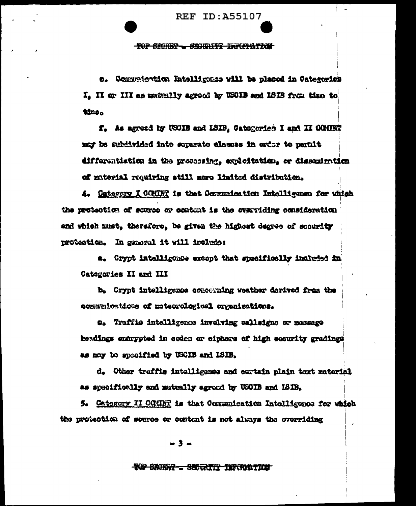**REF ID: A55107** 

#### **TOP CHORES - CHOURTS INFORMATION**

o. Communiontion Intelligence will be placed in Categorics I, II or III as makelly agredd by USOIB and ISIB from time to timo.

f. As agreed by USOIB and LSIB, Oatsgories I and II COMINT may be method into apparate classes in exter to permit differentistica in the proceeding, exploitation, or dissemination of muterial requiring still nere limited distribution.

4. Category I COHIN? is that Communication Intolligence for which the protection of scures or content is the overriding consideration and which must, therefore, be given the highest degree of scourity protection. In general it will irelate:

a. Crypt intelligence except that specifically included in Categories II and III

b. Crypt intelligence conockning weather derived from the commutentions of meterological organizations.

O. Traffic intolligence involving calleigns or message headings entrypted in codes or ciphers of high security gradings as may bo specified by USCIB and ISIB.

d. Other traffic intolligence and certain plain toxt material as specifically and mutually agreed by USCIB and ISIB.

5. Category II COMINT is that Communication Intolligence for which the protoction of source or content is not always the overriding

ш9.,

#### **TOP CHORAY - SECRETY TERRATION**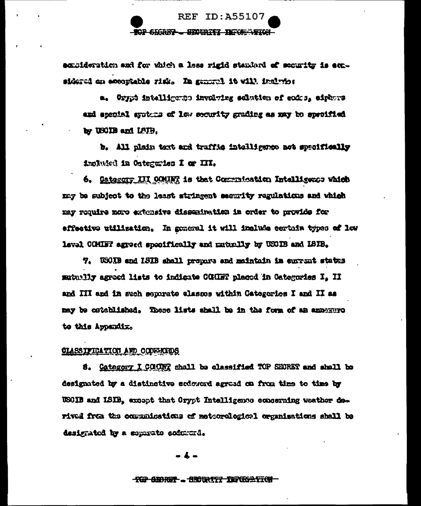

excideration and for which a less rigid standard of security is expsidered on accoptable risk. In general it will include:

a. Grypt intelligence involving selution of coics, aiphors and special systems of low socurity grading as may be specified by USCIB and LSIB.

b. All plain text and traffic intelligence not specifically included in Ontegrates I or III.

6. Gategory III COMINT is that Communication Intelligence which may be subject to the least stringent security regulations and which may require more extensive dissemination in order to provide for effective utilization. In goneral it will include certain types of low level CGHIF agreed specifically and maturily by USOIB and LSIB.

7. USCIB and ISIB shall propore and meintain in current states mutually agreed lists to indigate COMMT placed in Categories I. II and III and in such separate classes within Categories I and II as may be cstablished. These lists shall be in the form of an announce to this Appendix.

#### CLASSIFICATION AND CODEROIDS

8. Category I COUNT shall be classified TOP SEORET and shall be designated by a distinctive softward agreed on from thes to time by USCIB and ISIB, except that Crypt Intelligence concerning weather darived frem the communications of metorological organisations shall be designated by a separate codererd.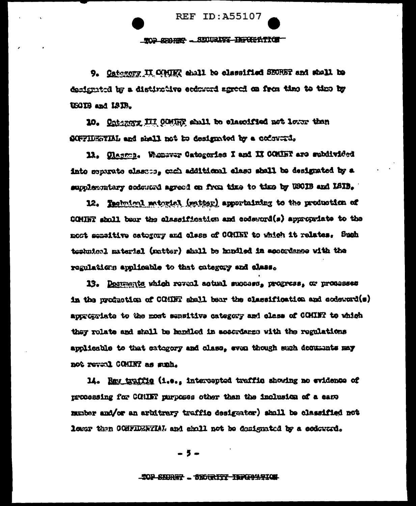**REF ID: A55107** 

TOP SPARE - SECURITY INFORMATION

9. Oategory II COUR shall to classified SECRET and shall to designated by a distinctive ecdowerd agreed on from theo to these by USIB and ISIB.

10. Onterory III COMER shall be classified not lower than SCFFIDETIAL and shall not to designated by a codeword.

11. Classea. Whomever Categories I and II COMINT are subdivided into separate classes, each additional class shall be designated by a supplementary codeword agreed on from time to time by USOIB and LSIB.

12. Rechained patental (matter) apportaining to the production of CONNET shall bear the classification and codeword(s) approxiate to the most semaitive category and class of COMINT to which it relates. Such teshnical material (matter) shall be handled in accordance with the regulations applicable to that category and class.

13. Decuments which reveal actual success, progress, or processes in the production of COMMT shall bear the classification and codeward(s) approxiate to the most sensitive category and class of COMINT to which they rolate and shall be handled in secondance with the regulations applicable to that category and class, even though such decuments may not reveal COMINT as sunh.

14. Ray traffig (i.e., intercepted traffig showing no evidence of processing for CCHINT purposes other than the inclusion of a care munber and/or an arbitrary traffic designator) shall be classified not loser then CONFIDERTIAL and sholl not be designated by a codeward.

- 5 -

#### **TOP SHIRE! .. SECRITY INFORMATION**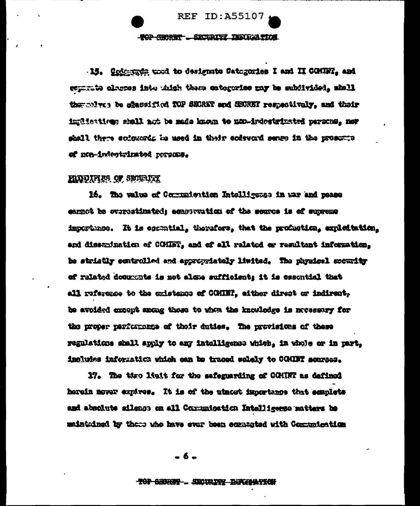**REF ID: A55107** 

#### **BOP GROUND - SECURITY INSTRUMENTOR**

15. Cofestado una to designate Catagories I and II COUNT. and generate alarmes into thisk there extogenise may be subjivided, shell thermives be shaped fied fOP SECRET and SECRET respectively, and their impliestiese shall not be made known to non-irdestricted persons, nor shall there codewords in used in their codeword sense in the prosump of non-indeptrimated reveass.

#### **HIDDINES OF SECURICIE**

16. The value of Communication Intelligence in war and peace carnet be oversatinated; consevation of the source is of supreme importunes. It is escuetial, therefore, that the production, exploitation, and dissuination of COHET, and of all related or resultant information. be stristly controlled and appropriately limited. The physical security of related documents is not alone sufficient; it is essential that all reference to the cristence of COMINT, either direct or indirect. be avoided except mong these to when the knowledge is necessary for the proper parformance of their duties. The provisions of these regulations shall apply to any intelligence which, in whole or in part, includes information which can be traced solely to COMINT sources.

17. The time light for the safeguarding of COMINT as defined herein nover expires. It is of the utmost importance that semplets and absolute silenge on all Communication Intelligence matters be mainteined by these who have ever been econtated with Communication

-6.

#### TOP SECRET - SECURITY INFORMATION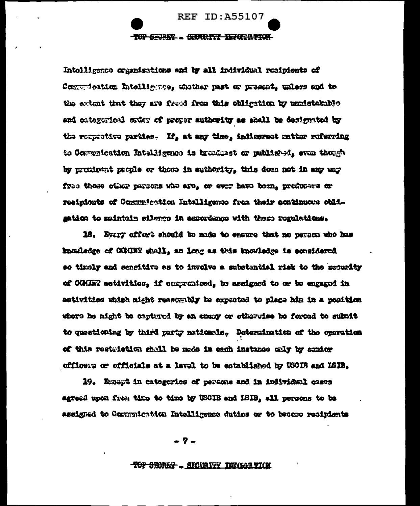## **REF ID: A55107 TOP SEGREE . GEORETZ TEFOERTION**

Intolligence cramisations and by all individual resipients of Comunication Intelligence, whether past or present, unless and to the extent that they are freed from this obligation by undetakable and categorical order of proper authority as shall be designated by the respective parties. If, at any time, indicarest untter referring to Communication Intelligence is broadmet or published, even though by proxinant people or those in authority, this does not in any way free those other persons who are, or ever have been, producers or resinients of Communication Intelligence from their continuous obligation to maintain silence in accordange with them regulations.

18. Every effort should be made to ensure that no person who has kacaledge of COMBT shall, as long as this knowledge is considered so timely and sengitive as to involve a substantial risk to the security of CGHINT activities, if compromised, be assigned to or be engaged in activities which might reasonably be expreted to place him in a position thains of hooned of enhuments on waves as well hooring of fight of create to questioning by third party muticals. Determination of the operation of this restriction shall be made in cach instance only by senior officers or officials at a level to be established by USOIB and ISIB.

19. Except in categories of persons and in individual cases agreed upon from time to time by USOIB and ISIB, all persons to be assigned to Communication Intelligence duties or to became recipients

- 7 -

#### **TOP SECRET ... SECURITY TENGIA TION**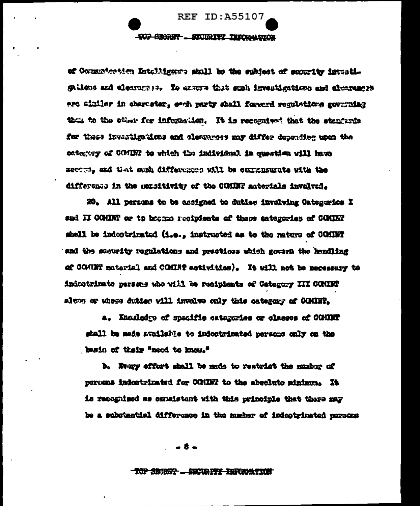

of Communication Intelligence shall be the subject of socurity investiggations and electors 12. To exame that such investigations and electences ert siniler in character, each party shall forward regulations governing then to the sther for information. It is recognized that the standards for these investigations and electroses may differ depending upon the ontagery of GRIEN to which the individual in question will have accepts, and that sugh differences will be corrensurate with the difference in the surgitivity of the COHDNT materials involved.

20. All persons to be assigned to duties involving Categories I and II COMINT or to became recipients of these categories of COMINT shall be indectrinated (i.e., instructed as to the nature of COMET and the sourity regulations and practices which govern the handling of COGINY material and COMINY activities). It will not be necessary to indeptrimate persons who will be recipients of Category III COMINT along or whose dution will involve only this category of COMINT.

a. Knosledge of specific extermies or classes of COMDFT shall be made available to indoctrinated persons only on the hasin of thair "need to know."

b. Fray effort shall be made to restrict the musher of percens indeptrimated for COURT to the absolute minimum. It is recognized as equalstant with this principle that there may he a substantial difference in the number of indeptrinated persons

**TOP SERGY ... SECURITY INFORMATION**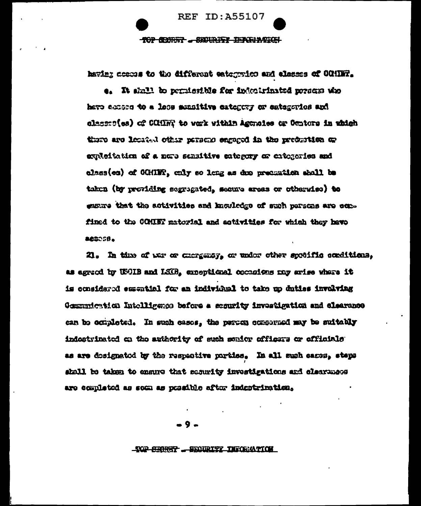TOP CONST . SENIGER TERGENGEN

**REF ID: A55107** 

having access to the different categories and classes of COMINT.

e. It shall to permissible for indeclinated presen who have access to a loss sometion category or categories and classes(es) of COMER to work within Agencies or Centors in which there are located other persons engaged in the production or emulcitation of a now sensitive entergy or chieseries and class(es) of CGHING, only so long as doe precention shall be taken (by providing segregated, secure areas or otherwise) to emsure that the activities and knowledge of such persons are equal fined to the COMINT matorial and activities for which they have 860058.

21. In time of we or currently, or under other specific conditions, as agreed by USCIB and LSCB, emerginged occasions may arise where it is considered essential for an individual to take up duties involving Communication Intelligence before a security investigation and clearance can be completed. In such cases, the person conserned may be suitably indestrinated on the authority of such sonior officers or officials as are dosignated by the respective parties. In all such cases, steps shall be taken to ensure that security investigations and classrapes are completed as som as pessible after indestrimation.

-TOP-CERRET ... SECURITY INFORMATION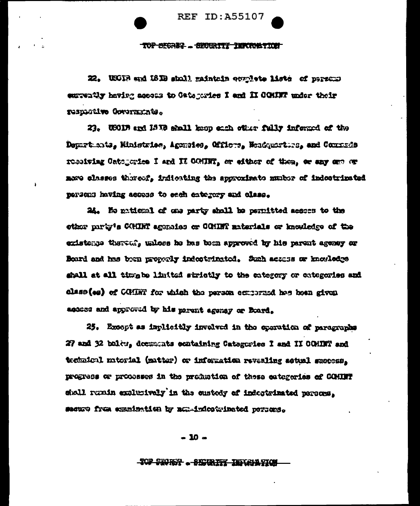**REF ID: A55107** 

TOP SEGREG. SECOURTY THROUGHING

22. USCIB and ISIB shall maintain equalists lists of persons entwatly having access to Gategories I and II COMINT under their respective Governments.

23. USODE and 1810 shall keep sach ofter fully informed of the Depurt ants, Ministrice, Agonsies, Officts, Neadquarture, and Commade resolving Catogories I and II CONDIT, or either of them, or any one or nore classes thoreof, indicating the approximate number of indectrinated persons having access to each entergy and class.

24. He matical of one party shall be permitted scopes to the other party's COMET aggraiss or COMET materials or knowledge of the existence thereof, unless he has been approved by his parent agency or Board and has been properly indestrinated. Such access or knowledge shall at all timp be limited strictly to the extegery or extegeries and class (se) of COMET for which the person ecrosized has been given access and approved by his parent agency or Board.

25. Except as implicitly involved in the sparation of paragraphs 27 and 32 billy, decustats exataining Catagories I and II COMINT and technical micrial (matter) or information revealing actual success. progress or processes in the production of these categories of COMBIT shall runin emlusively in the custody of indeptrimated persons. secure frum examination by nex-indectrinated persons.

 $-10 -$ 

<del>Top Seorsy . Skitcheff Inflandsi</del>o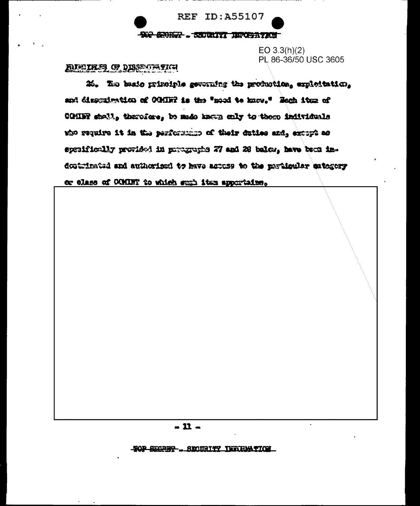**REF ID: A55107 -900 SHORF ... SECONDED DEPOSITENT** 

 $EO 3.3(h)(2)$ PL 86-36/50 USC 3605

## **ENEURS OF DISSECTATION**

26. To besis primiple gevening the production, exploitation, and dissumination of OGHR is the "mod to know," Rech item of COMIFF shall, therefore, be made known only to these individuals who require it in the performance of their duties and, except as spreificully provided in prougraphs 27 and 28 balon, have been indoutlimind and authorized to have actoss to the particular estegory or class of COMINT to which such its apportains.

#### $-11-$

<u> TOP SECREP . SKAIRT TERRIATION</u>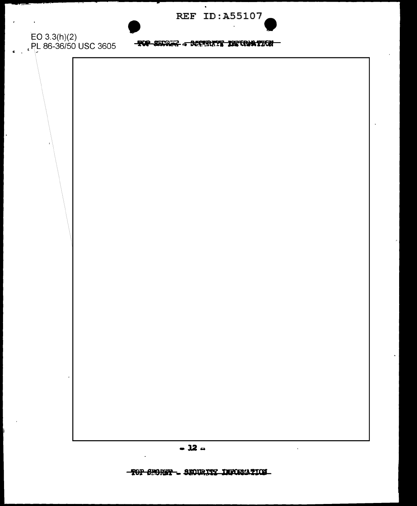**REF ID:A55107** 

EO 3.3(h)(2)<br>, PL 86-36/50 USC 3605

 $\overline{\phantom{a}}$ 

 $\epsilon$ 

 $\sim$ 

**TOP SERIES - MEERING DE COATEGY** 

 $\bullet$ 

TOP CHORSE - SECURITY INFORMATION

 $\ddot{\phantom{a}}$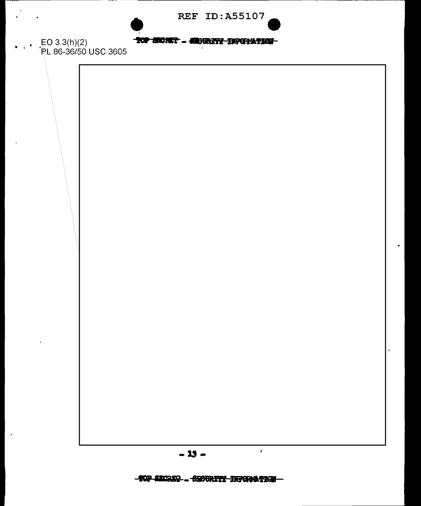| <b>REF ID: A55107</b> |  |  |  |  |  |  |  |  |
|-----------------------|--|--|--|--|--|--|--|--|
|-----------------------|--|--|--|--|--|--|--|--|



### TOP CRONET - SEDURITY INFORMATION

 $\cdot$  EO 3.3(h)(2)<br> $\cdot$  PL 86-36/50 USC 3605

 $\lambda$ 

 $\mathbf{r}$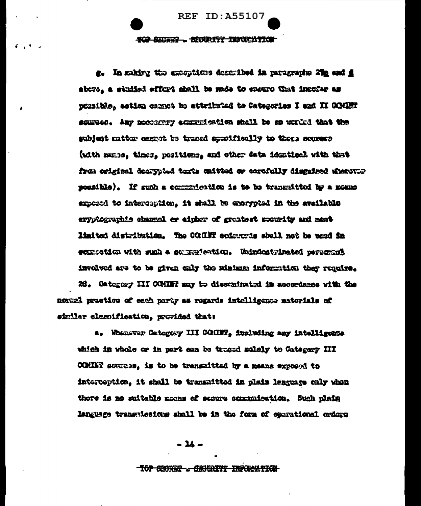**REF ID: A55107** SCA SUCHER - SOCIETY TENCHATICH

s. In making the emergings described in paragraphs 2% and d above, a studied effort shall be mole to ensure that incufar as punible, estima carnot be attributed to Categories I and II COMET samues. Any necessary exports which shall be an unrited that the subjent matter centot to traced sposifically to theme sources (with mans, times, positions, and other data identical with that from criginal dearybod texts caitted or cerofully disguised wherever monathle). If such a commuteriation is to be transmitted by a moune exposed to interpretion, it shall be exerpreed in the available ervotementis channel or einher of greatest sourity and mestlimited distribution. The COUNT ecdrure's shall not be used in experient with such a scappication. Unintegrated personnel involved are to be given only the minimum information they require.

26. Category III COMINT may be disseminated in accordance with the nomal practice of each party as regards intolligence materials of sinilar classification, provided that:

a. Whenever Category III COMBT, including any intelligence which in whole or in part can be trueed solely to Category III COMIET sources, is to be transaitted by a means exposed to interception, it shall be transmitted in plain lenguage only when there is no suitable means of sesure communication. Such plain language transmissions shall be in the form of operational orders

 $-34-$ 

#### TOP GEORGE - CENTRITY INFORMATION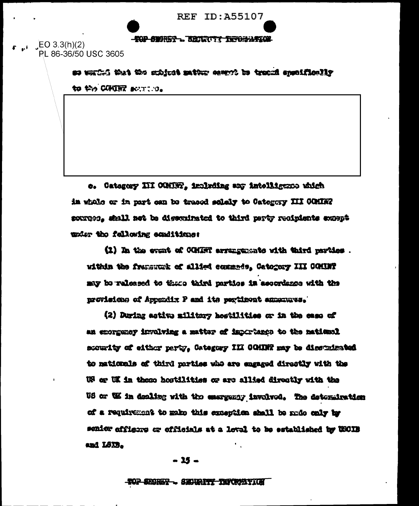**REF ID: A55107** 

#### **TOP SERIES . BEARING LEFORATION**

 $EC 3.3(h)(2)$ PL 86-36/50 USC 3605

> as esting has the schiest matter cannot be track appointed in **to the COURT BUTTION**

e. Category III CONDR, imigring any intelligence which in while or in part can be traced selely to Category III COMING sources, shall not be disseminated to third perty recipients except under the fallowing conditione:

(1) In the event of COMET arrangements with third parties . within the frematick of allied comments, Catogory III COMIN? my to released to thise third parties in accordance with the morisions of Appendix P and its pertinent amments.

(2) During astive military hostilities or in the case of an excreency involving a matter of importance to the national accurity of either party, Category III COMING may be discussioned to nationals of third parties who are engaged directly with the We or UK in these hostilities or are allied directly with the US or WE in dealing with the energency involved. The determination of a requirement to make this exception shall be make only by senior officers or officials at a level to be established by USCIB and LSXB.

- 15 -

#### TOP SECRET - SECRET TECHNITIC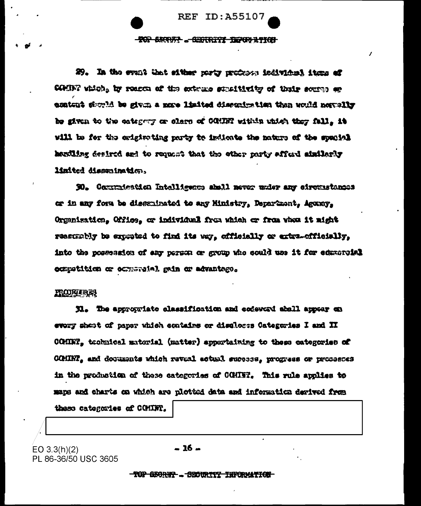**ROP BEAUTY ... EXPIRITE THROP RYICH** 

**REF ID: A55107** 

29. In the event that sitter porty professe individual items of CONDET which, by reacca of the extrace straitivity of their source or emusicat district carb multerinate betagl exam a ming od historic dustance be given to the estegary or clare of COMIN within which they fall. it will be for the originating party to indicate the nature of the special actiling desired and to request that the other party affect anilogic limited dissuination.

30. Communication Intelligence aboli never under any circustances er in any form be dissuinated to any Ministry, Department, Agency, Organisation, Office, or individual from which or from whom it might reascmely be expreted to find its way, cfficially or extra-officially, into the possession of any person or group who could use it for educately. competition or occurred all are advantage.

#### **FRONTAINER**

31. The appropriate classification and codeword aboll appear on every sheat of paper which contains or discloses Categories I and II COMMT, toohnical material (matter) appertaining to these categories of CCMINT, and documents which reveal actual suppees, progress or proceeses in the production of these categories of COMINT. This rule applies to maps and charts on which are plotted data and information derived from

these categories of COMINT.

 $EO 3.3(h)(2)$ PL 86-36/50 USC 3605  $-16-$ 

TOP GEORET - SECURITY INFORMATION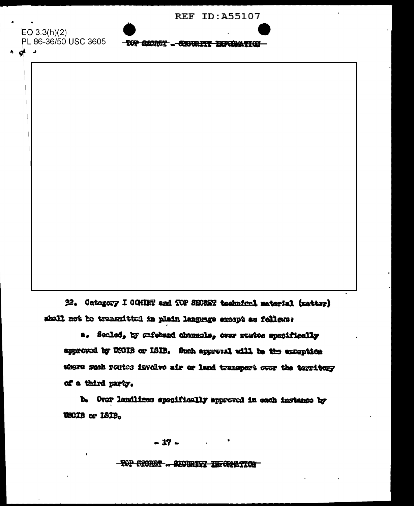| <b>REF ID:A55107</b> |
|----------------------|
|----------------------|

EO  $3.3(h)(2)$ PL 86-36/50 USC 3605

د قع

**TOP GENET ... SENIUTE EXPOSITION** 

32. Category I COHINT and TOP SECRET technical material (matter) shall not be transmitted in plain language except as follows:

a. Secled, by sufeband channols, over rendes specifically approved by USOIS or ISIB. Such approval will be the exception where such routes involve air or land transport over the territory of a third party.

b. Over landlines specifically approved in each instance by USOIB or 181B.

 $-17-$ 

TOP SHORET .. SECURITY INFORMATION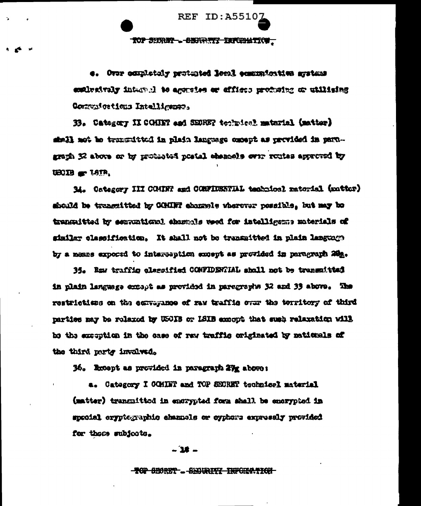**TOP SHREE--8BHREEF INFOUNTION-**

**REF ID:A5510)** 

e. Over completely protunted lessl communication arrivans emighting internal to aggrains or effices producing or utilising Commutextions Intelligence.

33. Category II COHINY and SEDREY toolwicel material (matter) -mag at heliver as deen excrete the shale at tratification dive fiest graph 32 above or by protested pretal chemosis over routes approved by  $UBOB$   $C = LSPR$ .

14. Category III COMINT and CONFIDENTIAL technical raterial (matter) should be trancattted by COMINT chargely wherever possible. but may be transmitted by essuntigal shownle wed for intelligens miterials of similar elassification. It shall not be transmitted in plain language by a means expocad to interception except as provided in paragraph 200.

35. Raw traffic classified CONFIDENTIAL shall not be transmitted in plain language except as provided in paregraphs 32 and 33 above. The restrictions on the corregance of raw traffic over the territory of third parties may be rolaxed by USOIB or ISIB exacut that such relaxation will be elemented betwelphe offers war to see odi al molitances od to the third party invalved.

36. Rosept as provided in paragraph 27g above:

a. Category I COMINT and TOP SECRET technical material (matter) transmitted in encrypted form shall be encrypted in special cryptographic channels or cyphore expressly provided for these subjects.

#### - 18 -

#### **TOP SECRET - SECORITY INFORMATION**